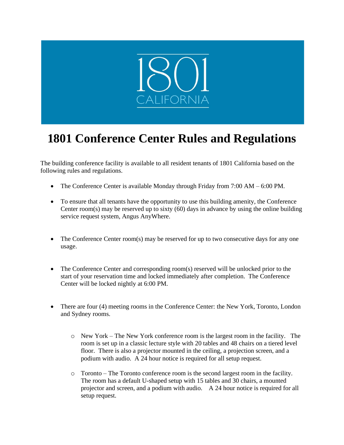

## **1801 Conference Center Rules and Regulations**

The building conference facility is available to all resident tenants of 1801 California based on the following rules and regulations.

- The Conference Center is available Monday through Friday from 7:00 AM 6:00 PM.
- To ensure that all tenants have the opportunity to use this building amenity, the Conference Center room(s) may be reserved up to sixty (60) days in advance by using the online building service request system, Angus AnyWhere.
- The Conference Center room(s) may be reserved for up to two consecutive days for any one usage.
- The Conference Center and corresponding room(s) reserved will be unlocked prior to the start of your reservation time and locked immediately after completion. The Conference Center will be locked nightly at 6:00 PM.
- There are four (4) meeting rooms in the Conference Center: the New York, Toronto, London and Sydney rooms.
	- o New York The New York conference room is the largest room in the facility. The room is set up in a classic lecture style with 20 tables and 48 chairs on a tiered level floor. There is also a projector mounted in the ceiling, a projection screen, and a podium with audio. A 24 hour notice is required for all setup request.
	- o Toronto The Toronto conference room is the second largest room in the facility. The room has a default U-shaped setup with 15 tables and 30 chairs, a mounted projector and screen, and a podium with audio. A 24 hour notice is required for all setup request.